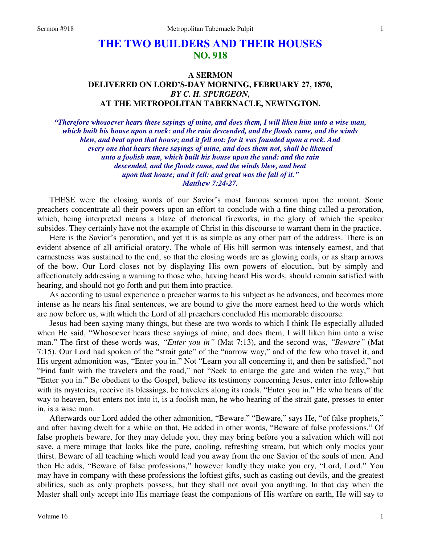# **THE TWO BUILDERS AND THEIR HOUSES NO. 918**

## **A SERMON DELIVERED ON LORD'S-DAY MORNING, FEBRUARY 27, 1870,**  *BY C. H. SPURGEON,*  **AT THE METROPOLITAN TABERNACLE, NEWINGTON.**

*"Therefore whosoever hears these sayings of mine, and does them, I will liken him unto a wise man, which built his house upon a rock: and the rain descended, and the floods came, and the winds blew, and beat upon that house; and it fell not: for it was founded upon a rock. And every one that hears these sayings of mine, and does them not, shall be likened unto a foolish man, which built his house upon the sand: and the rain descended, and the floods came, and the winds blew, and beat upon that house; and it fell: and great was the fall of it." Matthew 7:24-27.* 

THESE were the closing words of our Savior's most famous sermon upon the mount. Some preachers concentrate all their powers upon an effort to conclude with a fine thing called a peroration, which, being interpreted means a blaze of rhetorical fireworks, in the glory of which the speaker subsides. They certainly have not the example of Christ in this discourse to warrant them in the practice.

Here is the Savior's peroration, and yet it is as simple as any other part of the address. There is an evident absence of all artificial oratory. The whole of His hill sermon was intensely earnest, and that earnestness was sustained to the end, so that the closing words are as glowing coals, or as sharp arrows of the bow. Our Lord closes not by displaying His own powers of elocution, but by simply and affectionately addressing a warning to those who, having heard His words, should remain satisfied with hearing, and should not go forth and put them into practice.

As according to usual experience a preacher warms to his subject as he advances, and becomes more intense as he nears his final sentences, we are bound to give the more earnest heed to the words which are now before us, with which the Lord of all preachers concluded His memorable discourse.

Jesus had been saying many things, but these are two words to which I think He especially alluded when He said, "Whosoever hears these sayings of mine, and does them, I will liken him unto a wise man." The first of these words was, *"Enter you in"* (Mat 7:13), and the second was, *"Beware"* (Mat 7:15). Our Lord had spoken of the "strait gate" of the "narrow way," and of the few who travel it, and His urgent admonition was, "Enter you in." Not "Learn you all concerning it, and then be satisfied," not "Find fault with the travelers and the road," not "Seek to enlarge the gate and widen the way," but "Enter you in." Be obedient to the Gospel, believe its testimony concerning Jesus, enter into fellowship with its mysteries, receive its blessings, be travelers along its roads. "Enter you in." He who hears of the way to heaven, but enters not into it, is a foolish man, he who hearing of the strait gate, presses to enter in, is a wise man.

Afterwards our Lord added the other admonition, "Beware." "Beware," says He, "of false prophets," and after having dwelt for a while on that, He added in other words, "Beware of false professions." Of false prophets beware, for they may delude you, they may bring before you a salvation which will not save, a mere mirage that looks like the pure, cooling, refreshing stream, but which only mocks your thirst. Beware of all teaching which would lead you away from the one Savior of the souls of men. And then He adds, "Beware of false professions," however loudly they make you cry, "Lord, Lord." You may have in company with these professions the loftiest gifts, such as casting out devils, and the greatest abilities, such as only prophets possess, but they shall not avail you anything. In that day when the Master shall only accept into His marriage feast the companions of His warfare on earth, He will say to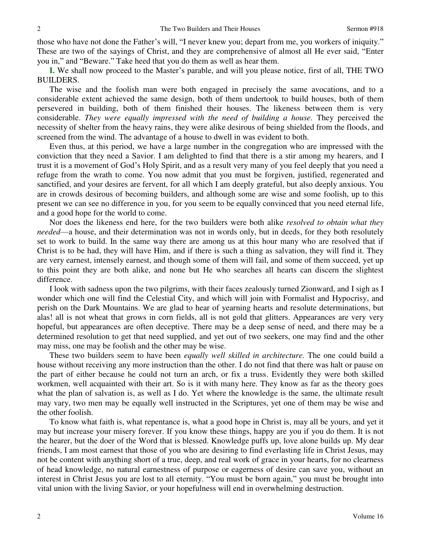those who have not done the Father's will, "I never knew you; depart from me, you workers of iniquity." These are two of the sayings of Christ, and they are comprehensive of almost all He ever said, "Enter you in," and "Beware." Take heed that you do them as well as hear them.

**I.** We shall now proceed to the Master's parable, and will you please notice, first of all, THE TWO BUILDERS.

The wise and the foolish man were both engaged in precisely the same avocations, and to a considerable extent achieved the same design, both of them undertook to build houses, both of them persevered in building, both of them finished their houses. The likeness between them is very considerable. *They were equally impressed with the need of building a house.* They perceived the necessity of shelter from the heavy rains, they were alike desirous of being shielded from the floods, and screened from the wind. The advantage of a house to dwell in was evident to both.

Even thus, at this period, we have a large number in the congregation who are impressed with the conviction that they need a Savior. I am delighted to find that there is a stir among my hearers, and I trust it is a movement of God's Holy Spirit, and as a result very many of you feel deeply that you need a refuge from the wrath to come. You now admit that you must be forgiven, justified, regenerated and sanctified, and your desires are fervent, for all which I am deeply grateful, but also deeply anxious. You are in crowds desirous of becoming builders, and although some are wise and some foolish, up to this present we can see no difference in you, for you seem to be equally convinced that you need eternal life, and a good hope for the world to come.

Nor does the likeness end here, for the two builders were both alike *resolved to obtain what they needed*—a house, and their determination was not in words only, but in deeds, for they both resolutely set to work to build. In the same way there are among us at this hour many who are resolved that if Christ is to be had, they will have Him, and if there is such a thing as salvation, they will find it. They are very earnest, intensely earnest, and though some of them will fail, and some of them succeed, yet up to this point they are both alike, and none but He who searches all hearts can discern the slightest difference.

I look with sadness upon the two pilgrims, with their faces zealously turned Zionward, and I sigh as I wonder which one will find the Celestial City, and which will join with Formalist and Hypocrisy, and perish on the Dark Mountains. We are glad to hear of yearning hearts and resolute determinations, but alas! all is not wheat that grows in corn fields, all is not gold that glitters. Appearances are very very hopeful, but appearances are often deceptive. There may be a deep sense of need, and there may be a determined resolution to get that need supplied, and yet out of two seekers, one may find and the other may miss, one may be foolish and the other may be wise.

These two builders seem to have been *equally well skilled in architecture.* The one could build a house without receiving any more instruction than the other. I do not find that there was halt or pause on the part of either because he could not turn an arch, or fix a truss. Evidently they were both skilled workmen, well acquainted with their art. So is it with many here. They know as far as the theory goes what the plan of salvation is, as well as I do. Yet where the knowledge is the same, the ultimate result may vary, two men may be equally well instructed in the Scriptures, yet one of them may be wise and the other foolish.

To know what faith is, what repentance is, what a good hope in Christ is, may all be yours, and yet it may but increase your misery forever. If you know these things, happy are you if you do them. It is not the hearer, but the doer of the Word that is blessed. Knowledge puffs up, love alone builds up. My dear friends, I am most earnest that those of you who are desiring to find everlasting life in Christ Jesus, may not be content with anything short of a true, deep, and real work of grace in your hearts, for no clearness of head knowledge, no natural earnestness of purpose or eagerness of desire can save you, without an interest in Christ Jesus you are lost to all eternity. "You must be born again," you must be brought into vital union with the living Savior, or your hopefulness will end in overwhelming destruction.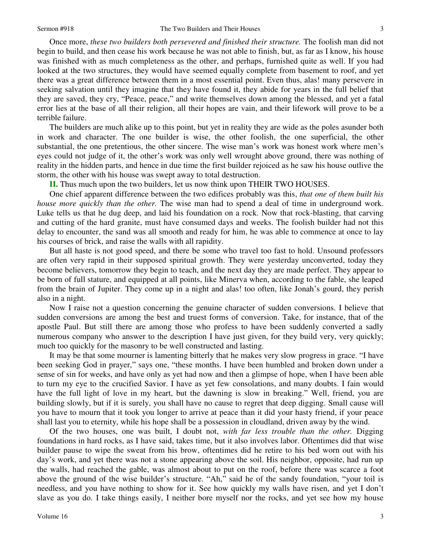Once more, *these two builders both persevered and finished their structure.* The foolish man did not begin to build, and then cease his work because he was not able to finish, but, as far as I know, his house was finished with as much completeness as the other, and perhaps, furnished quite as well. If you had looked at the two structures, they would have seemed equally complete from basement to roof, and yet there was a great difference between them in a most essential point. Even thus, alas! many persevere in seeking salvation until they imagine that they have found it, they abide for years in the full belief that they are saved, they cry, "Peace, peace," and write themselves down among the blessed, and yet a fatal error lies at the base of all their religion, all their hopes are vain, and their lifework will prove to be a terrible failure.

The builders are much alike up to this point, but yet in reality they are wide as the poles asunder both in work and character. The one builder is wise, the other foolish, the one superficial, the other substantial, the one pretentious, the other sincere. The wise man's work was honest work where men's eyes could not judge of it, the other's work was only well wrought above ground, there was nothing of reality in the hidden parts, and hence in due time the first builder rejoiced as he saw his house outlive the storm, the other with his house was swept away to total destruction.

**II.** Thus much upon the two builders, let us now think upon THEIR TWO HOUSES.

One chief apparent difference between the two edifices probably was this, *that one of them built his house more quickly than the other.* The wise man had to spend a deal of time in underground work. Luke tells us that he dug deep, and laid his foundation on a rock. Now that rock-blasting, that carving and cutting of the hard granite, must have consumed days and weeks. The foolish builder had not this delay to encounter, the sand was all smooth and ready for him, he was able to commence at once to lay his courses of brick, and raise the walls with all rapidity.

But all haste is not good speed, and there be some who travel too fast to hold. Unsound professors are often very rapid in their supposed spiritual growth. They were yesterday unconverted, today they become believers, tomorrow they begin to teach, and the next day they are made perfect. They appear to be born of full stature, and equipped at all points, like Minerva when, according to the fable, she leaped from the brain of Jupiter. They come up in a night and alas! too often, like Jonah's gourd, they perish also in a night.

Now I raise not a question concerning the genuine character of sudden conversions. I believe that sudden conversions are among the best and truest forms of conversion. Take, for instance, that of the apostle Paul. But still there are among those who profess to have been suddenly converted a sadly numerous company who answer to the description I have just given, for they build very, very quickly; much too quickly for the masonry to be well constructed and lasting.

It may be that some mourner is lamenting bitterly that he makes very slow progress in grace. "I have been seeking God in prayer," says one, "these months. I have been humbled and broken down under a sense of sin for weeks, and have only as yet had now and then a glimpse of hope, when I have been able to turn my eye to the crucified Savior. I have as yet few consolations, and many doubts. I fain would have the full light of love in my heart, but the dawning is slow in breaking." Well, friend, you are building slowly, but if it is surely, you shall have no cause to regret that deep digging. Small cause will you have to mourn that it took you longer to arrive at peace than it did your hasty friend, if your peace shall last you to eternity, while his hope shall be a possession in cloudland, driven away by the wind.

Of the two houses, one was built, I doubt not, *with far less trouble than the other.* Digging foundations in hard rocks, as I have said, takes time, but it also involves labor. Oftentimes did that wise builder pause to wipe the sweat from his brow, oftentimes did he retire to his bed worn out with his day's work, and yet there was not a stone appearing above the soil. His neighbor, opposite, had run up the walls, had reached the gable, was almost about to put on the roof, before there was scarce a foot above the ground of the wise builder's structure. "Ah," said he of the sandy foundation, "your toil is needless, and you have nothing to show for it. See how quickly my walls have risen, and yet I don't slave as you do. I take things easily, I neither bore myself nor the rocks, and yet see how my house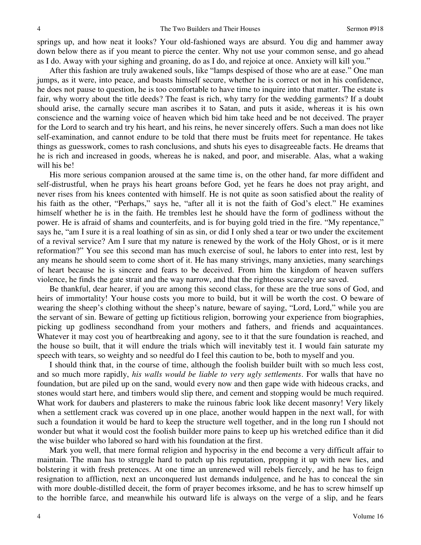springs up, and how neat it looks? Your old-fashioned ways are absurd. You dig and hammer away down below there as if you meant to pierce the center. Why not use your common sense, and go ahead as I do. Away with your sighing and groaning, do as I do, and rejoice at once. Anxiety will kill you."

After this fashion are truly awakened souls, like "lamps despised of those who are at ease." One man jumps, as it were, into peace, and boasts himself secure, whether he is correct or not in his confidence, he does not pause to question, he is too comfortable to have time to inquire into that matter. The estate is fair, why worry about the title deeds? The feast is rich, why tarry for the wedding garments? If a doubt should arise, the carnally secure man ascribes it to Satan, and puts it aside, whereas it is his own conscience and the warning voice of heaven which bid him take heed and be not deceived. The prayer for the Lord to search and try his heart, and his reins, he never sincerely offers. Such a man does not like self-examination, and cannot endure to be told that there must be fruits meet for repentance. He takes things as guesswork, comes to rash conclusions, and shuts his eyes to disagreeable facts. He dreams that he is rich and increased in goods, whereas he is naked, and poor, and miserable. Alas, what a waking will his be!

His more serious companion aroused at the same time is, on the other hand, far more diffident and self-distrustful, when he prays his heart groans before God, yet he fears he does not pray aright, and never rises from his knees contented with himself. He is not quite as soon satisfied about the reality of his faith as the other, "Perhaps," says he, "after all it is not the faith of God's elect." He examines himself whether he is in the faith. He trembles lest he should have the form of godliness without the power. He is afraid of shams and counterfeits, and is for buying gold tried in the fire. "My repentance," says he, "am I sure it is a real loathing of sin as sin, or did I only shed a tear or two under the excitement of a revival service? Am I sure that my nature is renewed by the work of the Holy Ghost, or is it mere reformation?" You see this second man has much exercise of soul, he labors to enter into rest, lest by any means he should seem to come short of it. He has many strivings, many anxieties, many searchings of heart because he is sincere and fears to be deceived. From him the kingdom of heaven suffers violence, he finds the gate strait and the way narrow, and that the righteous scarcely are saved.

Be thankful, dear hearer, if you are among this second class, for these are the true sons of God, and heirs of immortality! Your house costs you more to build, but it will be worth the cost. O beware of wearing the sheep's clothing without the sheep's nature, beware of saying, "Lord, Lord," while you are the servant of sin. Beware of getting up fictitious religion, borrowing your experience from biographies, picking up godliness secondhand from your mothers and fathers, and friends and acquaintances. Whatever it may cost you of heartbreaking and agony, see to it that the sure foundation is reached, and the house so built, that it will endure the trials which will inevitably test it. I would fain saturate my speech with tears, so weighty and so needful do I feel this caution to be, both to myself and you.

I should think that, in the course of time, although the foolish builder built with so much less cost, and so much more rapidly, *his walls would be liable to very ugly settlements*. For walls that have no foundation, but are piled up on the sand, would every now and then gape wide with hideous cracks, and stones would start here, and timbers would slip there, and cement and stopping would be much required. What work for daubers and plasterers to make the ruinous fabric look like decent masonry! Very likely when a settlement crack was covered up in one place, another would happen in the next wall, for with such a foundation it would be hard to keep the structure well together, and in the long run I should not wonder but what it would cost the foolish builder more pains to keep up his wretched edifice than it did the wise builder who labored so hard with his foundation at the first.

Mark you well, that mere formal religion and hypocrisy in the end become a very difficult affair to maintain. The man has to struggle hard to patch up his reputation, propping it up with new lies, and bolstering it with fresh pretences. At one time an unrenewed will rebels fiercely, and he has to feign resignation to affliction, next an unconquered lust demands indulgence, and he has to conceal the sin with more double-distilled deceit, the form of prayer becomes irksome, and he has to screw himself up to the horrible farce, and meanwhile his outward life is always on the verge of a slip, and he fears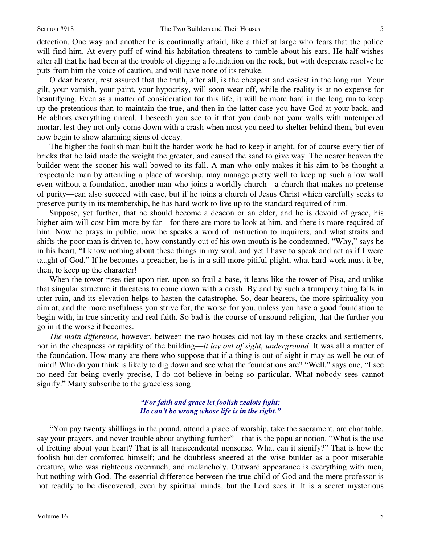detection. One way and another he is continually afraid, like a thief at large who fears that the police will find him. At every puff of wind his habitation threatens to tumble about his ears. He half wishes after all that he had been at the trouble of digging a foundation on the rock, but with desperate resolve he puts from him the voice of caution, and will have none of its rebuke.

O dear hearer, rest assured that the truth, after all, is the cheapest and easiest in the long run. Your gilt, your varnish, your paint, your hypocrisy, will soon wear off, while the reality is at no expense for beautifying. Even as a matter of consideration for this life, it will be more hard in the long run to keep up the pretentious than to maintain the true, and then in the latter case you have God at your back, and He abhors everything unreal. I beseech you see to it that you daub not your walls with untempered mortar, lest they not only come down with a crash when most you need to shelter behind them, but even now begin to show alarming signs of decay.

The higher the foolish man built the harder work he had to keep it aright, for of course every tier of bricks that he laid made the weight the greater, and caused the sand to give way. The nearer heaven the builder went the sooner his wall bowed to its fall. A man who only makes it his aim to be thought a respectable man by attending a place of worship, may manage pretty well to keep up such a low wall even without a foundation, another man who joins a worldly church—a church that makes no pretense of purity—can also succeed with ease, but if he joins a church of Jesus Christ which carefully seeks to preserve purity in its membership, he has hard work to live up to the standard required of him.

Suppose, yet further, that he should become a deacon or an elder, and he is devoid of grace, his higher aim will cost him more by far—for there are more to look at him, and there is more required of him. Now he prays in public, now he speaks a word of instruction to inquirers, and what straits and shifts the poor man is driven to, how constantly out of his own mouth is he condemned. "Why," says he in his heart, "I know nothing about these things in my soul, and yet I have to speak and act as if I were taught of God." If he becomes a preacher, he is in a still more pitiful plight, what hard work must it be, then, to keep up the character!

When the tower rises tier upon tier, upon so frail a base, it leans like the tower of Pisa, and unlike that singular structure it threatens to come down with a crash. By and by such a trumpery thing falls in utter ruin, and its elevation helps to hasten the catastrophe. So, dear hearers, the more spirituality you aim at, and the more usefulness you strive for, the worse for you, unless you have a good foundation to begin with, in true sincerity and real faith. So bad is the course of unsound religion, that the further you go in it the worse it becomes.

*The main difference,* however, between the two houses did not lay in these cracks and settlements, nor in the cheapness or rapidity of the building—*it lay out of sight, underground*. It was all a matter of the foundation. How many are there who suppose that if a thing is out of sight it may as well be out of mind! Who do you think is likely to dig down and see what the foundations are? "Well," says one, "I see no need for being overly precise, I do not believe in being so particular. What nobody sees cannot signify." Many subscribe to the graceless song —

#### *"For faith and grace let foolish zealots fight; He can't be wrong whose life is in the right."*

"You pay twenty shillings in the pound, attend a place of worship, take the sacrament, are charitable, say your prayers, and never trouble about anything further"—that is the popular notion. "What is the use of fretting about your heart? That is all transcendental nonsense. What can it signify?" That is how the foolish builder comforted himself; and he doubtless sneered at the wise builder as a poor miserable creature, who was righteous overmuch, and melancholy. Outward appearance is everything with men, but nothing with God. The essential difference between the true child of God and the mere professor is not readily to be discovered, even by spiritual minds, but the Lord sees it. It is a secret mysterious

5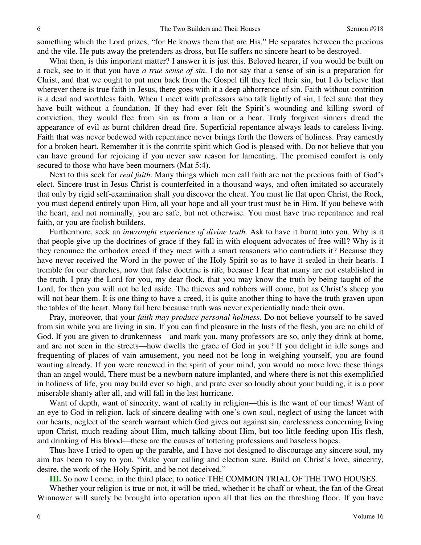something which the Lord prizes, "for He knows them that are His." He separates between the precious and the vile. He puts away the pretenders as dross, but He suffers no sincere heart to be destroyed.

What then, is this important matter? I answer it is just this. Beloved hearer, if you would be built on a rock, see to it that you have *a true sense of sin*. I do not say that a sense of sin is a preparation for Christ, and that we ought to put men back from the Gospel till they feel their sin, but I do believe that wherever there is true faith in Jesus, there goes with it a deep abhorrence of sin. Faith without contrition is a dead and worthless faith. When I meet with professors who talk lightly of sin, I feel sure that they have built without a foundation. If they had ever felt the Spirit's wounding and killing sword of conviction, they would flee from sin as from a lion or a bear. Truly forgiven sinners dread the appearance of evil as burnt children dread fire. Superficial repentance always leads to careless living. Faith that was never bedewed with repentance never brings forth the flowers of holiness. Pray earnestly for a broken heart. Remember it is the contrite spirit which God is pleased with. Do not believe that you can have ground for rejoicing if you never saw reason for lamenting. The promised comfort is only secured to those who have been mourners (Mat 5:4).

Next to this seek for *real faith*. Many things which men call faith are not the precious faith of God's elect. Sincere trust in Jesus Christ is counterfeited in a thousand ways, and often imitated so accurately that only by rigid self-examination shall you discover the cheat. You must lie flat upon Christ, the Rock, you must depend entirely upon Him, all your hope and all your trust must be in Him. If you believe with the heart, and not nominally, you are safe, but not otherwise. You must have true repentance and real faith, or you are foolish builders.

Furthermore, seek an *inwrought experience of divine truth*. Ask to have it burnt into you. Why is it that people give up the doctrines of grace if they fall in with eloquent advocates of free will? Why is it they renounce the orthodox creed if they meet with a smart reasoners who contradicts it? Because they have never received the Word in the power of the Holy Spirit so as to have it sealed in their hearts. I tremble for our churches, now that false doctrine is rife, because I fear that many are not established in the truth. I pray the Lord for you, my dear flock, that you may know the truth by being taught of the Lord, for then you will not be led aside. The thieves and robbers will come, but as Christ's sheep you will not hear them. It is one thing to have a creed, it is quite another thing to have the truth graven upon the tables of the heart. Many fail here because truth was never experientially made their own.

Pray, moreover, that your *faith may produce personal holiness.* Do not believe yourself to be saved from sin while you are living in sin. If you can find pleasure in the lusts of the flesh, you are no child of God. If you are given to drunkenness—and mark you, many professors are so, only they drink at home, and are not seen in the streets—how dwells the grace of God in you? If you delight in idle songs and frequenting of places of vain amusement, you need not be long in weighing yourself, you are found wanting already. If you were renewed in the spirit of your mind, you would no more love these things than an angel would, There must be a newborn nature implanted, and where there is not this exemplified in holiness of life, you may build ever so high, and prate ever so loudly about your building, it is a poor miserable shanty after all, and will fall in the last hurricane.

Want of depth, want of sincerity, want of reality in religion—this is the want of our times! Want of an eye to God in religion, lack of sincere dealing with one's own soul, neglect of using the lancet with our hearts, neglect of the search warrant which God gives out against sin, carelessness concerning living upon Christ, much reading about Him, much talking about Him, but too little feeding upon His flesh, and drinking of His blood—these are the causes of tottering professions and baseless hopes.

Thus have I tried to open up the parable, and I have not designed to discourage any sincere soul, my aim has been to say to you, "Make your calling and election sure. Build on Christ's love, sincerity, desire, the work of the Holy Spirit, and be not deceived."

**III.** So now I come, in the third place, to notice THE COMMON TRIAL OF THE TWO HOUSES.

Whether your religion is true or not, it will be tried, whether it be chaff or wheat, the fan of the Great Winnower will surely be brought into operation upon all that lies on the threshing floor. If you have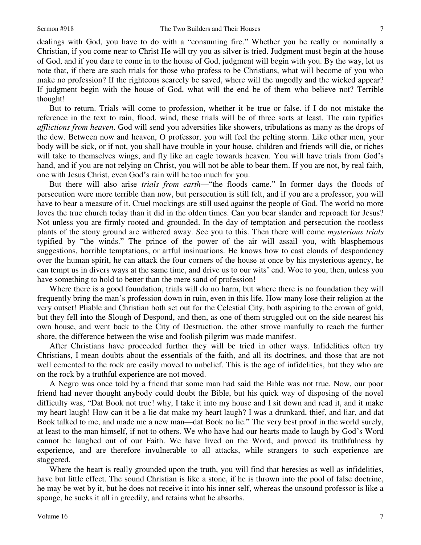dealings with God, you have to do with a "consuming fire." Whether you be really or nominally a Christian, if you come near to Christ He will try you as silver is tried. Judgment must begin at the house of God, and if you dare to come in to the house of God, judgment will begin with you. By the way, let us note that, if there are such trials for those who profess to be Christians, what will become of you who make no profession? If the righteous scarcely be saved, where will the ungodly and the wicked appear? If judgment begin with the house of God, what will the end be of them who believe not? Terrible thought!

But to return. Trials will come to profession, whether it be true or false. if I do not mistake the reference in the text to rain, flood, wind, these trials will be of three sorts at least. The rain typifies *afflictions from heaven*. God will send you adversities like showers, tribulations as many as the drops of the dew. Between now and heaven, O professor, you will feel the pelting storm. Like other men, your body will be sick, or if not, you shall have trouble in your house, children and friends will die, or riches will take to themselves wings, and fly like an eagle towards heaven. You will have trials from God's hand, and if you are not relying on Christ, you will not be able to bear them. If you are not, by real faith, one with Jesus Christ, even God's rain will be too much for you.

But there will also arise *trials from earth*—"the floods came." In former days the floods of persecution were more terrible than now, but persecution is still felt, and if you are a professor, you will have to bear a measure of it. Cruel mockings are still used against the people of God. The world no more loves the true church today than it did in the olden times. Can you bear slander and reproach for Jesus? Not unless you are firmly rooted and grounded. In the day of temptation and persecution the rootless plants of the stony ground are withered away. See you to this. Then there will come *mysterious trials* typified by "the winds." The prince of the power of the air will assail you, with blasphemous suggestions, horrible temptations, or artful insinuations. He knows how to cast clouds of despondency over the human spirit, he can attack the four corners of the house at once by his mysterious agency, he can tempt us in divers ways at the same time, and drive us to our wits' end. Woe to you, then, unless you have something to hold to better than the mere sand of profession!

Where there is a good foundation, trials will do no harm, but where there is no foundation they will frequently bring the man's profession down in ruin, even in this life. How many lose their religion at the very outset! Pliable and Christian both set out for the Celestial City, both aspiring to the crown of gold, but they fell into the Slough of Despond, and then, as one of them struggled out on the side nearest his own house, and went back to the City of Destruction, the other strove manfully to reach the further shore, the difference between the wise and foolish pilgrim was made manifest.

After Christians have proceeded further they will be tried in other ways. Infidelities often try Christians, I mean doubts about the essentials of the faith, and all its doctrines, and those that are not well cemented to the rock are easily moved to unbelief. This is the age of infidelities, but they who are on the rock by a truthful experience are not moved.

A Negro was once told by a friend that some man had said the Bible was not true. Now, our poor friend had never thought anybody could doubt the Bible, but his quick way of disposing of the novel difficulty was, "Dat Book not true! why, I take it into my house and I sit down and read it, and it make my heart laugh! How can it be a lie dat make my heart laugh? I was a drunkard, thief, and liar, and dat Book talked to me, and made me a new man—dat Book no lie." The very best proof in the world surely, at least to the man himself, if not to others. We who have had our hearts made to laugh by God's Word cannot be laughed out of our Faith. We have lived on the Word, and proved its truthfulness by experience, and are therefore invulnerable to all attacks, while strangers to such experience are staggered.

Where the heart is really grounded upon the truth, you will find that heresies as well as infidelities, have but little effect. The sound Christian is like a stone, if he is thrown into the pool of false doctrine, he may be wet by it, but he does not receive it into his inner self, whereas the unsound professor is like a sponge, he sucks it all in greedily, and retains what he absorbs.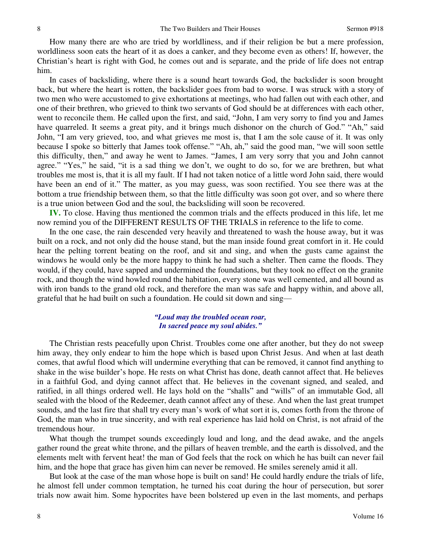How many there are who are tried by worldliness, and if their religion be but a mere profession, worldliness soon eats the heart of it as does a canker, and they become even as others! If, however, the Christian's heart is right with God, he comes out and is separate, and the pride of life does not entrap him.

In cases of backsliding, where there is a sound heart towards God, the backslider is soon brought back, but where the heart is rotten, the backslider goes from bad to worse. I was struck with a story of two men who were accustomed to give exhortations at meetings, who had fallen out with each other, and one of their brethren, who grieved to think two servants of God should be at differences with each other, went to reconcile them. He called upon the first, and said, "John, I am very sorry to find you and James have quarreled. It seems a great pity, and it brings much dishonor on the church of God." "Ah," said John, "I am very grieved, too, and what grieves me most is, that I am the sole cause of it. It was only because I spoke so bitterly that James took offense." "Ah, ah," said the good man, "we will soon settle this difficulty, then," and away he went to James. "James, I am very sorry that you and John cannot agree." "Yes," he said, "it is a sad thing we don't, we ought to do so, for we are brethren, but what troubles me most is, that it is all my fault. If I had not taken notice of a little word John said, there would have been an end of it." The matter, as you may guess, was soon rectified. You see there was at the bottom a true friendship between them, so that the little difficulty was soon got over, and so where there is a true union between God and the soul, the backsliding will soon be recovered.

**IV.** To close. Having thus mentioned the common trials and the effects produced in this life, let me now remind you of the DIFFERENT RESULTS OF THE TRIALS in reference to the life to come.

In the one case, the rain descended very heavily and threatened to wash the house away, but it was built on a rock, and not only did the house stand, but the man inside found great comfort in it. He could hear the pelting torrent beating on the roof, and sit and sing, and when the gusts came against the windows he would only be the more happy to think he had such a shelter. Then came the floods. They would, if they could, have sapped and undermined the foundations, but they took no effect on the granite rock, and though the wind howled round the habitation, every stone was well cemented, and all bound as with iron bands to the grand old rock, and therefore the man was safe and happy within, and above all, grateful that he had built on such a foundation. He could sit down and sing—

#### *"Loud may the troubled ocean roar, In sacred peace my soul abides."*

The Christian rests peacefully upon Christ. Troubles come one after another, but they do not sweep him away, they only endear to him the hope which is based upon Christ Jesus. And when at last death comes, that awful flood which will undermine everything that can be removed, it cannot find anything to shake in the wise builder's hope. He rests on what Christ has done, death cannot affect that. He believes in a faithful God, and dying cannot affect that. He believes in the covenant signed, and sealed, and ratified, in all things ordered well. He lays hold on the "shalls" and "wills" of an immutable God, all sealed with the blood of the Redeemer, death cannot affect any of these. And when the last great trumpet sounds, and the last fire that shall try every man's work of what sort it is, comes forth from the throne of God, the man who in true sincerity, and with real experience has laid hold on Christ, is not afraid of the tremendous hour.

What though the trumpet sounds exceedingly loud and long, and the dead awake, and the angels gather round the great white throne, and the pillars of heaven tremble, and the earth is dissolved, and the elements melt with fervent heat! the man of God feels that the rock on which he has built can never fail him, and the hope that grace has given him can never be removed. He smiles serenely amid it all.

But look at the case of the man whose hope is built on sand! He could hardly endure the trials of life, he almost fell under common temptation, he turned his coat during the hour of persecution, but sorer trials now await him. Some hypocrites have been bolstered up even in the last moments, and perhaps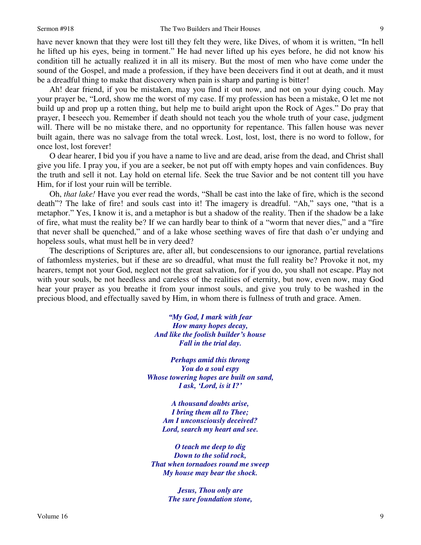have never known that they were lost till they felt they were, like Dives, of whom it is written, "In hell he lifted up his eyes, being in torment." He had never lifted up his eyes before, he did not know his condition till he actually realized it in all its misery. But the most of men who have come under the sound of the Gospel, and made a profession, if they have been deceivers find it out at death, and it must be a dreadful thing to make that discovery when pain is sharp and parting is bitter!

Ah! dear friend, if you be mistaken, may you find it out now, and not on your dying couch. May your prayer be, "Lord, show me the worst of my case. If my profession has been a mistake, O let me not build up and prop up a rotten thing, but help me to build aright upon the Rock of Ages." Do pray that prayer, I beseech you. Remember if death should not teach you the whole truth of your case, judgment will. There will be no mistake there, and no opportunity for repentance. This fallen house was never built again, there was no salvage from the total wreck. Lost, lost, lost, there is no word to follow, for once lost, lost forever!

O dear hearer, I bid you if you have a name to live and are dead, arise from the dead, and Christ shall give you life. I pray you, if you are a seeker, be not put off with empty hopes and vain confidences. Buy the truth and sell it not. Lay hold on eternal life. Seek the true Savior and be not content till you have Him, for if lost your ruin will be terrible.

Oh, *that lake!* Have you ever read the words, "Shall be cast into the lake of fire, which is the second death"? The lake of fire! and souls cast into it! The imagery is dreadful. "Ah," says one, "that is a metaphor." Yes, I know it is, and a metaphor is but a shadow of the reality. Then if the shadow be a lake of fire, what must the reality be? If we can hardly bear to think of a "worm that never dies," and a "fire that never shall be quenched," and of a lake whose seething waves of fire that dash o'er undying and hopeless souls, what must hell be in very deed?

The descriptions of Scriptures are, after all, but condescensions to our ignorance, partial revelations of fathomless mysteries, but if these are so dreadful, what must the full reality be? Provoke it not, my hearers, tempt not your God, neglect not the great salvation, for if you do, you shall not escape. Play not with your souls, be not heedless and careless of the realities of eternity, but now, even now, may God hear your prayer as you breathe it from your inmost souls, and give you truly to be washed in the precious blood, and effectually saved by Him, in whom there is fullness of truth and grace. Amen.

> *"My God, I mark with fear How many hopes decay, And like the foolish builder's house Fall in the trial day.*

*Perhaps amid this throng You do a soul espy Whose towering hopes are built on sand, I ask, 'Lord, is it I?'*

> *A thousand doubts arise, I bring them all to Thee; Am I unconsciously deceived? Lord, search my heart and see.*

*O teach me deep to dig Down to the solid rock, That when tornadoes round me sweep My house may bear the shock.* 

> *Jesus, Thou only are The sure foundation stone,*